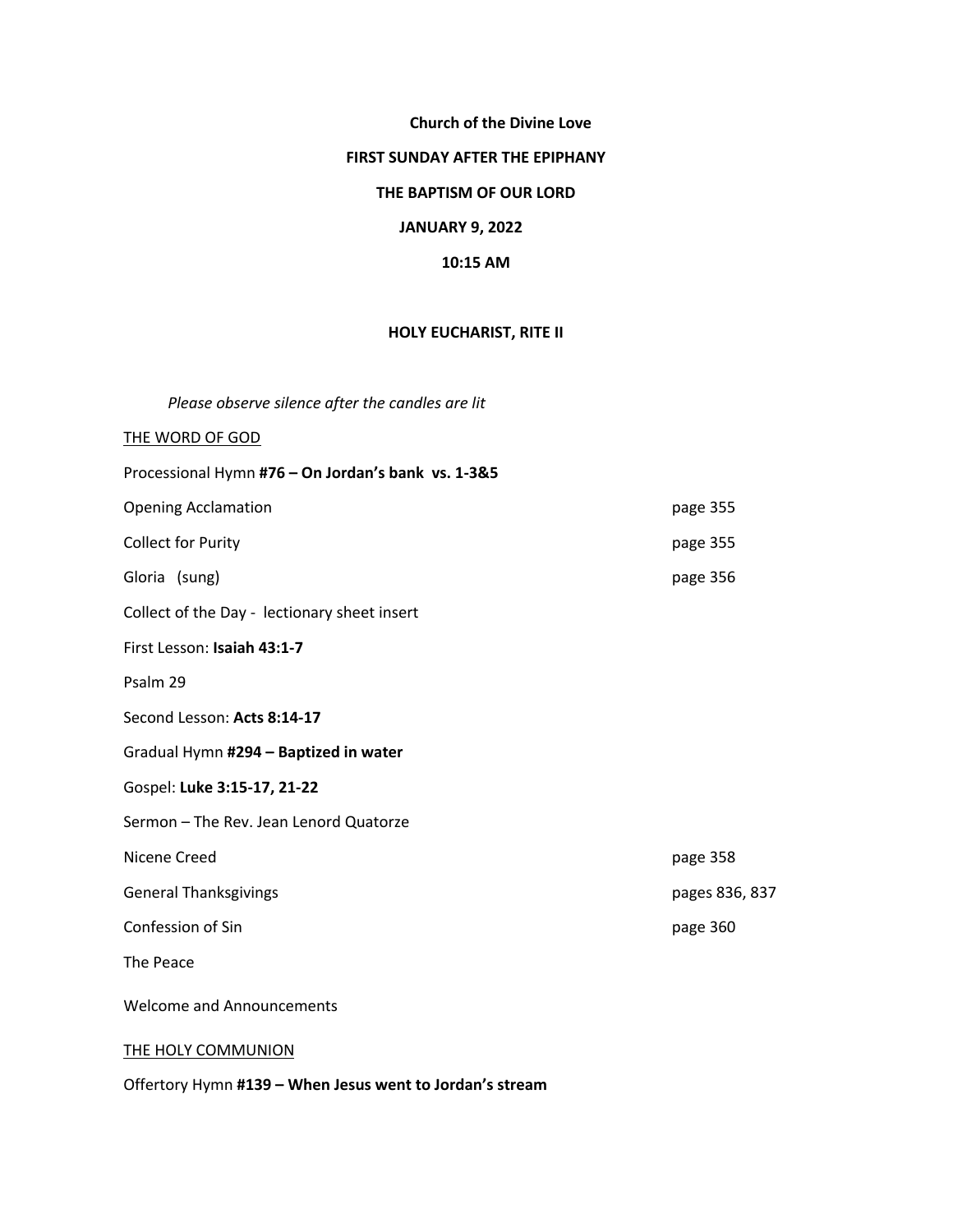## **Church of the Divine Love**

#### **FIRST SUNDAY AFTER THE EPIPHANY**

### **THE BAPTISM OF OUR LORD**

### **JANUARY 9, 2022**

### **10:15 AM**

### **HOLY EUCHARIST, RITE II**

*Please observe silence after the candles are lit* 

# THE WORD OF GOD

| Processional Hymn #76 - On Jordan's bank vs. 1-3&5 |                |
|----------------------------------------------------|----------------|
| <b>Opening Acclamation</b>                         | page 355       |
| <b>Collect for Purity</b>                          | page 355       |
| Gloria (sung)                                      | page 356       |
| Collect of the Day - lectionary sheet insert       |                |
| First Lesson: Isaiah 43:1-7                        |                |
| Psalm 29                                           |                |
| Second Lesson: Acts 8:14-17                        |                |
| Gradual Hymn #294 - Baptized in water              |                |
| Gospel: Luke 3:15-17, 21-22                        |                |
| Sermon - The Rev. Jean Lenord Quatorze             |                |
| Nicene Creed                                       | page 358       |
| <b>General Thanksgivings</b>                       | pages 836, 837 |
| Confession of Sin                                  | page 360       |
| The Peace                                          |                |
| <b>Welcome and Announcements</b>                   |                |
| <b>THE HOLY COMMUNION</b>                          |                |

Offertory Hymn **#139 – When Jesus went to Jordan's stream**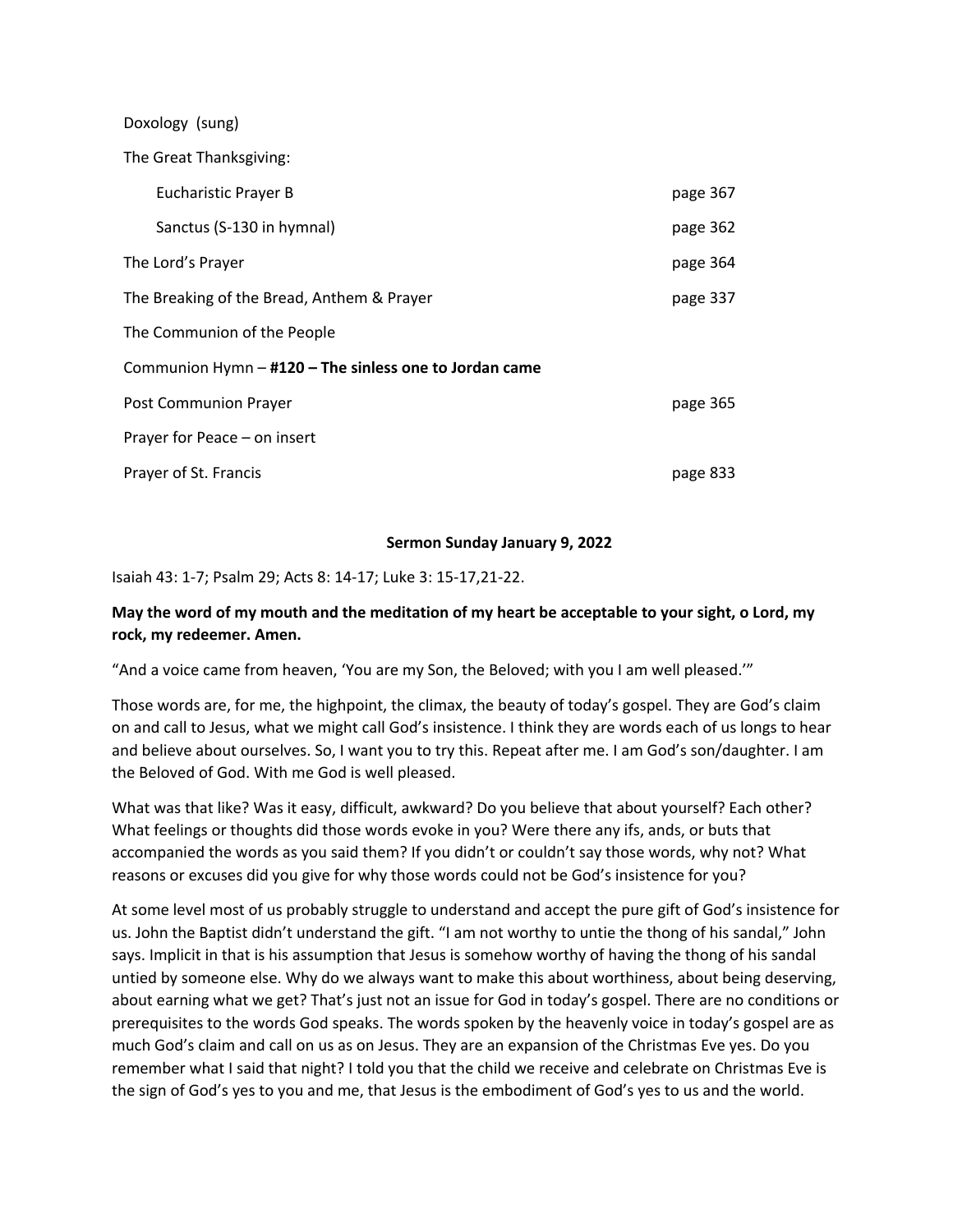Doxology (sung)The Great Thanksgiving: Eucharistic Prayer B page 367 Sanctus (S-130 in hymnal) example 362 The Lord's Prayer page 364 The Breaking of the Bread, Anthem & Prayer page 137 The Communion of the People Communion Hymn – **#120 – The sinless one to Jordan came** Post Communion Prayer page 365 Prayer for Peace – on insert Prayer of St. Francis **page 833** 

### **Sermon Sunday January 9, 2022**

Isaiah 43: 1-7; Psalm 29; Acts 8: 14-17; Luke 3: 15-17,21-22.

### **May the word of my mouth and the meditation of my heart be acceptable to your sight, o Lord, my rock, my redeemer. Amen.**

"And a voice came from heaven, 'You are my Son, the Beloved; with you I am well pleased.'"

Those words are, for me, the highpoint, the climax, the beauty of today's gospel. They are God's claim on and call to Jesus, what we might call God's insistence. I think they are words each of us longs to hear and believe about ourselves. So, I want you to try this. Repeat after me. I am God's son/daughter. I am the Beloved of God. With me God is well pleased.

What was that like? Was it easy, difficult, awkward? Do you believe that about yourself? Each other? What feelings or thoughts did those words evoke in you? Were there any ifs, ands, or buts that accompanied the words as you said them? If you didn't or couldn't say those words, why not? What reasons or excuses did you give for why those words could not be God's insistence for you?

At some level most of us probably struggle to understand and accept the pure gift of God's insistence for us. John the Baptist didn't understand the gift. "I am not worthy to untie the thong of his sandal," John says. Implicit in that is his assumption that Jesus is somehow worthy of having the thong of his sandal untied by someone else. Why do we always want to make this about worthiness, about being deserving, about earning what we get? That's just not an issue for God in today's gospel. There are no conditions or prerequisites to the words God speaks. The words spoken by the heavenly voice in today's gospel are as much God's claim and call on us as on Jesus. They are an expansion of the Christmas Eve yes. Do you remember what I said that night? I told you that the child we receive and celebrate on Christmas Eve is the sign of God's yes to you and me, that Jesus is the embodiment of God's yes to us and the world.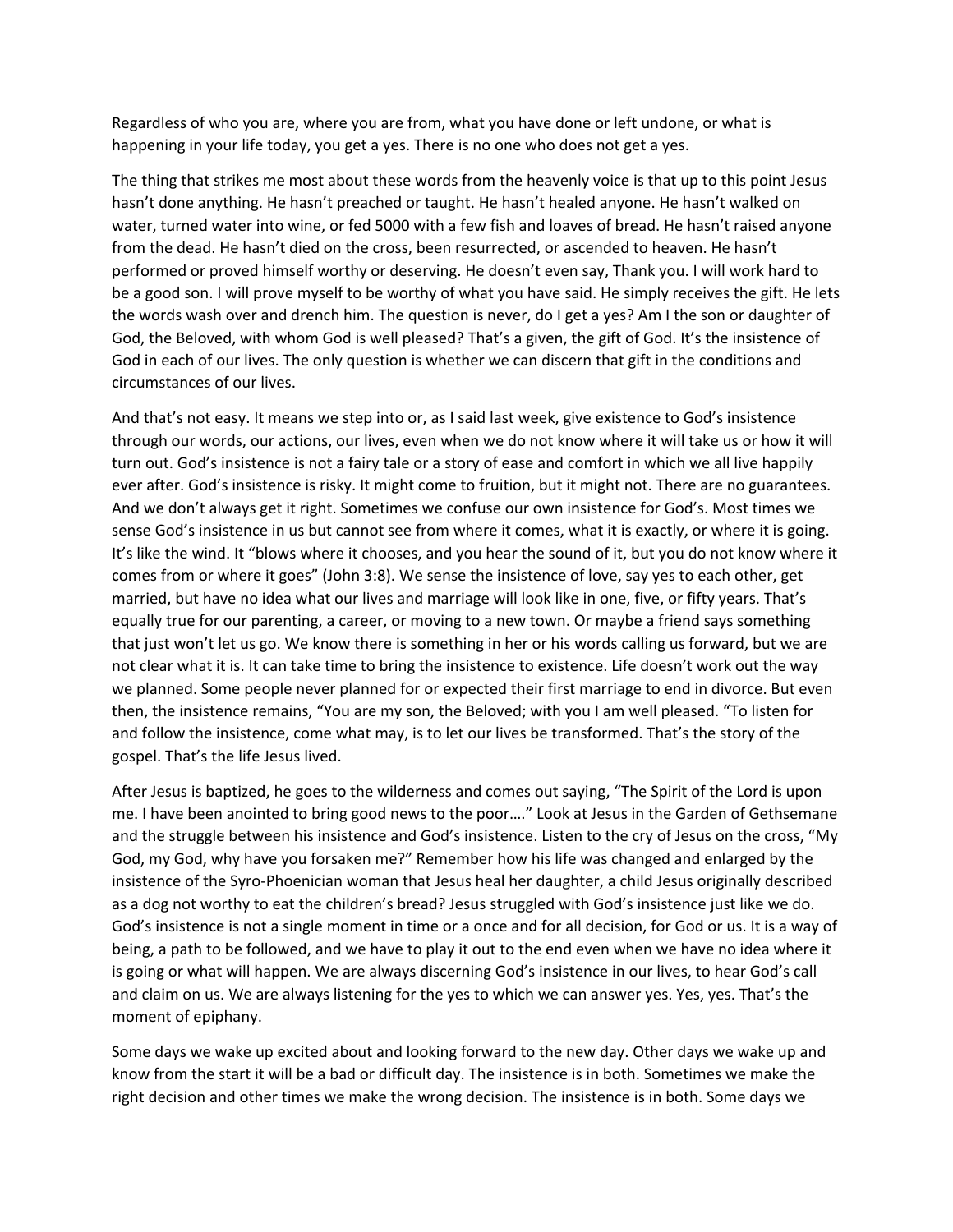Regardless of who you are, where you are from, what you have done or left undone, or what is happening in your life today, you get a yes. There is no one who does not get a yes.

The thing that strikes me most about these words from the heavenly voice is that up to this point Jesus hasn't done anything. He hasn't preached or taught. He hasn't healed anyone. He hasn't walked on water, turned water into wine, or fed 5000 with a few fish and loaves of bread. He hasn't raised anyone from the dead. He hasn't died on the cross, been resurrected, or ascended to heaven. He hasn't performed or proved himself worthy or deserving. He doesn't even say, Thank you. I will work hard to be a good son. I will prove myself to be worthy of what you have said. He simply receives the gift. He lets the words wash over and drench him. The question is never, do I get a yes? Am I the son or daughter of God, the Beloved, with whom God is well pleased? That's a given, the gift of God. It's the insistence of God in each of our lives. The only question is whether we can discern that gift in the conditions and circumstances of our lives.

And that's not easy. It means we step into or, as I said last week, give existence to God's insistence through our words, our actions, our lives, even when we do not know where it will take us or how it will turn out. God's insistence is not a fairy tale or a story of ease and comfort in which we all live happily ever after. God's insistence is risky. It might come to fruition, but it might not. There are no guarantees. And we don't always get it right. Sometimes we confuse our own insistence for God's. Most times we sense God's insistence in us but cannot see from where it comes, what it is exactly, or where it is going. It's like the wind. It "blows where it chooses, and you hear the sound of it, but you do not know where it comes from or where it goes" (John 3:8). We sense the insistence of love, say yes to each other, get married, but have no idea what our lives and marriage will look like in one, five, or fifty years. That's equally true for our parenting, a career, or moving to a new town. Or maybe a friend says something that just won't let us go. We know there is something in her or his words calling us forward, but we are not clear what it is. It can take time to bring the insistence to existence. Life doesn't work out the way we planned. Some people never planned for or expected their first marriage to end in divorce. But even then, the insistence remains, "You are my son, the Beloved; with you I am well pleased. "To listen for and follow the insistence, come what may, is to let our lives be transformed. That's the story of the gospel. That's the life Jesus lived.

After Jesus is baptized, he goes to the wilderness and comes out saying, "The Spirit of the Lord is upon me. I have been anointed to bring good news to the poor…." Look at Jesus in the Garden of Gethsemane and the struggle between his insistence and God's insistence. Listen to the cry of Jesus on the cross, "My God, my God, why have you forsaken me?" Remember how his life was changed and enlarged by the insistence of the Syro-Phoenician woman that Jesus heal her daughter, a child Jesus originally described as a dog not worthy to eat the children's bread? Jesus struggled with God's insistence just like we do. God's insistence is not a single moment in time or a once and for all decision, for God or us. It is a way of being, a path to be followed, and we have to play it out to the end even when we have no idea where it is going or what will happen. We are always discerning God's insistence in our lives, to hear God's call and claim on us. We are always listening for the yes to which we can answer yes. Yes, yes. That's the moment of epiphany.

Some days we wake up excited about and looking forward to the new day. Other days we wake up and know from the start it will be a bad or difficult day. The insistence is in both. Sometimes we make the right decision and other times we make the wrong decision. The insistence is in both. Some days we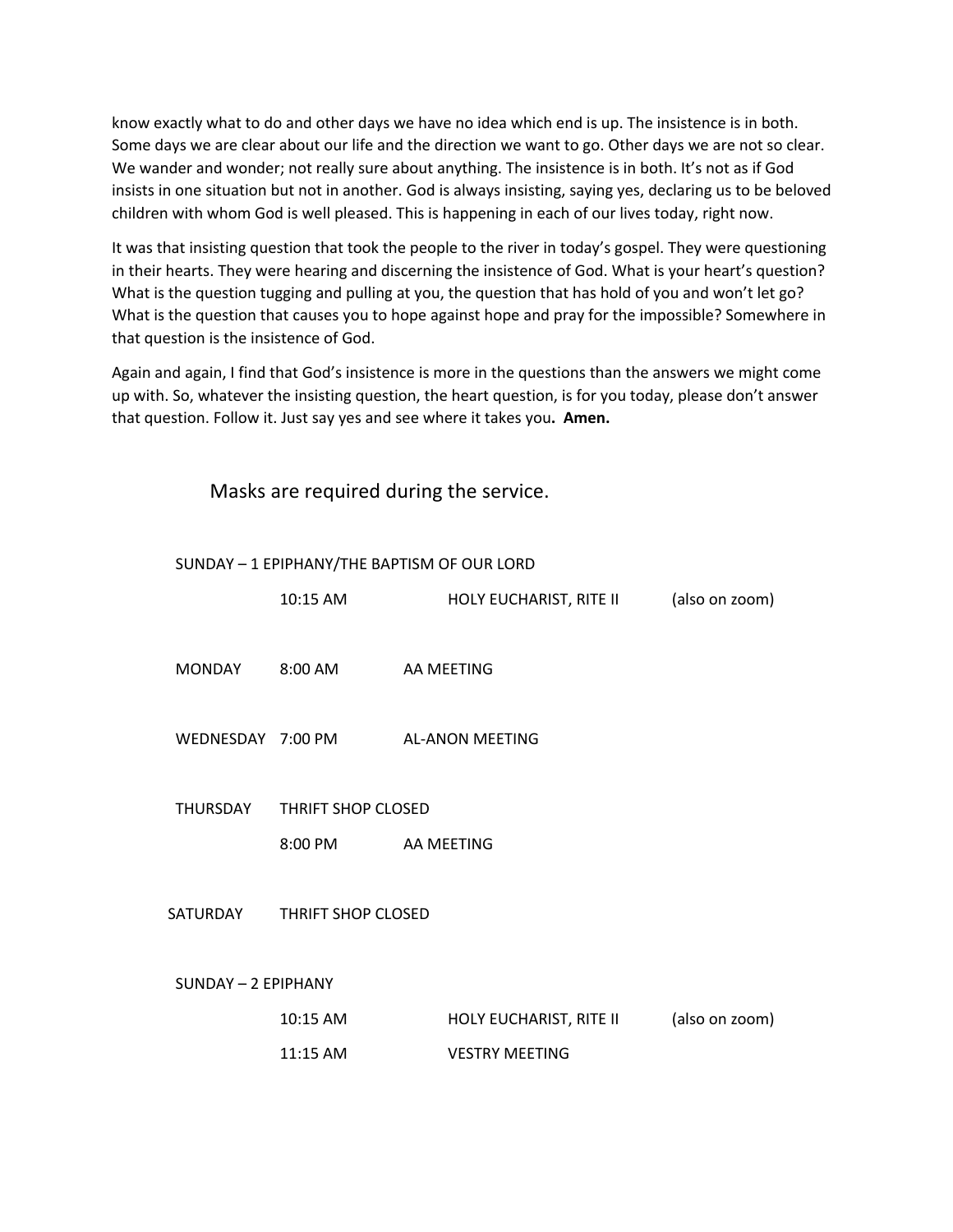know exactly what to do and other days we have no idea which end is up. The insistence is in both. Some days we are clear about our life and the direction we want to go. Other days we are not so clear. We wander and wonder; not really sure about anything. The insistence is in both. It's not as if God insists in one situation but not in another. God is always insisting, saying yes, declaring us to be beloved children with whom God is well pleased. This is happening in each of our lives today, right now.

It was that insisting question that took the people to the river in today's gospel. They were questioning in their hearts. They were hearing and discerning the insistence of God. What is your heart's question? What is the question tugging and pulling at you, the question that has hold of you and won't let go? What is the question that causes you to hope against hope and pray for the impossible? Somewhere in that question is the insistence of God.

Again and again, I find that God's insistence is more in the questions than the answers we might come up with. So, whatever the insisting question, the heart question, is for you today, please don't answer that question. Follow it. Just say yes and see where it takes you**. Amen.**

Masks are required during the service.

| SUNDAY - 1 EPIPHANY/THE BAPTISM OF OUR LORD |                           |                                   |                |  |  |
|---------------------------------------------|---------------------------|-----------------------------------|----------------|--|--|
|                                             | 10:15 AM                  | HOLY EUCHARIST, RITE II           | (also on zoom) |  |  |
|                                             |                           |                                   |                |  |  |
| MONDAY                                      | 8:00 AM                   | AA MEETING                        |                |  |  |
|                                             |                           |                                   |                |  |  |
|                                             |                           | WEDNESDAY 7:00 PM AL-ANON MEETING |                |  |  |
|                                             |                           |                                   |                |  |  |
|                                             |                           |                                   |                |  |  |
| THURSDAY                                    | <b>THRIFT SHOP CLOSED</b> |                                   |                |  |  |
|                                             | 8:00 PM AA MEETING        |                                   |                |  |  |
|                                             |                           |                                   |                |  |  |
| SATURDAY                                    | THRIFT SHOP CLOSED        |                                   |                |  |  |
|                                             |                           |                                   |                |  |  |
| SUNDAY - 2 EPIPHANY                         |                           |                                   |                |  |  |
|                                             |                           |                                   |                |  |  |
|                                             | 10:15 AM                  | HOLY EUCHARIST, RITE II           | (also on zoom) |  |  |
|                                             | 11:15 AM                  | <b>VESTRY MEETING</b>             |                |  |  |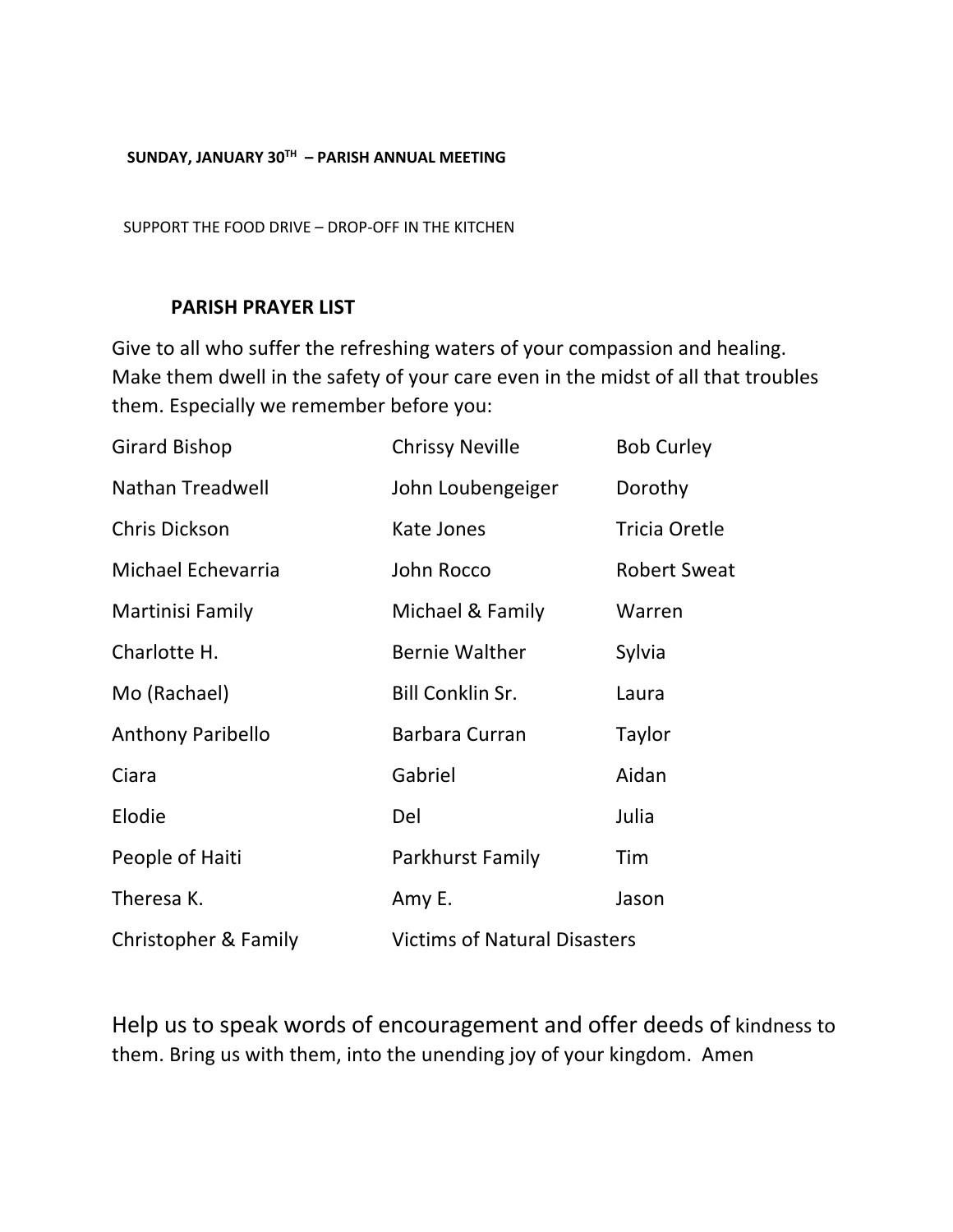## **SUNDAY, JANUARY 30TH – PARISH ANNUAL MEETING**

SUPPORT THE FOOD DRIVE – DROP-OFF IN THE KITCHEN

## **PARISH PRAYER LIST**

Give to all who suffer the refreshing waters of your compassion and healing. Make them dwell in the safety of your care even in the midst of all that troubles them. Especially we remember before you:

| <b>Girard Bishop</b>     | <b>Chrissy Neville</b>              | <b>Bob Curley</b>    |
|--------------------------|-------------------------------------|----------------------|
| Nathan Treadwell         | John Loubengeiger                   | Dorothy              |
| Chris Dickson            | Kate Jones                          | <b>Tricia Oretle</b> |
| Michael Echevarria       | John Rocco                          | <b>Robert Sweat</b>  |
| Martinisi Family         | Michael & Family                    | Warren               |
| Charlotte H.             | <b>Bernie Walther</b>               | Sylvia               |
| Mo (Rachael)             | <b>Bill Conklin Sr.</b>             | Laura                |
| <b>Anthony Paribello</b> | Barbara Curran                      | Taylor               |
| Ciara                    | Gabriel                             | Aidan                |
| Elodie                   | Del                                 | Julia                |
| People of Haiti          | Parkhurst Family                    | Tim                  |
| Theresa K.               | Amy E.                              | Jason                |
| Christopher & Family     | <b>Victims of Natural Disasters</b> |                      |

Help us to speak words of encouragement and offer deeds of kindness to them. Bring us with them, into the unending joy of your kingdom. Amen